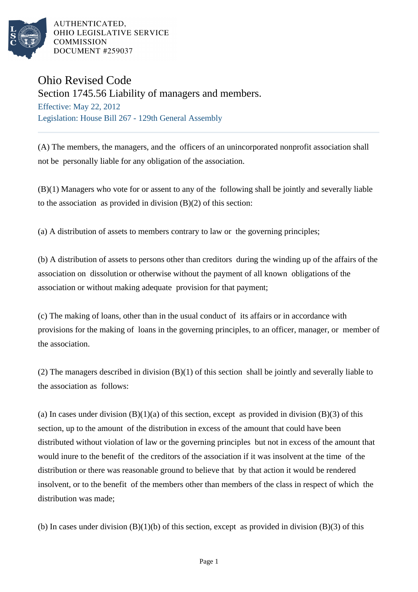

AUTHENTICATED. OHIO LEGISLATIVE SERVICE **COMMISSION** DOCUMENT #259037

## Ohio Revised Code

Section 1745.56 Liability of managers and members.

Effective: May 22, 2012 Legislation: House Bill 267 - 129th General Assembly

(A) The members, the managers, and the officers of an unincorporated nonprofit association shall not be personally liable for any obligation of the association.

(B)(1) Managers who vote for or assent to any of the following shall be jointly and severally liable to the association as provided in division  $(B)(2)$  of this section:

(a) A distribution of assets to members contrary to law or the governing principles;

(b) A distribution of assets to persons other than creditors during the winding up of the affairs of the association on dissolution or otherwise without the payment of all known obligations of the association or without making adequate provision for that payment;

(c) The making of loans, other than in the usual conduct of its affairs or in accordance with provisions for the making of loans in the governing principles, to an officer, manager, or member of the association.

(2) The managers described in division (B)(1) of this section shall be jointly and severally liable to the association as follows:

(a) In cases under division  $(B)(1)(a)$  of this section, except as provided in division  $(B)(3)$  of this section, up to the amount of the distribution in excess of the amount that could have been distributed without violation of law or the governing principles but not in excess of the amount that would inure to the benefit of the creditors of the association if it was insolvent at the time of the distribution or there was reasonable ground to believe that by that action it would be rendered insolvent, or to the benefit of the members other than members of the class in respect of which the distribution was made;

(b) In cases under division  $(B)(1)(b)$  of this section, except as provided in division  $(B)(3)$  of this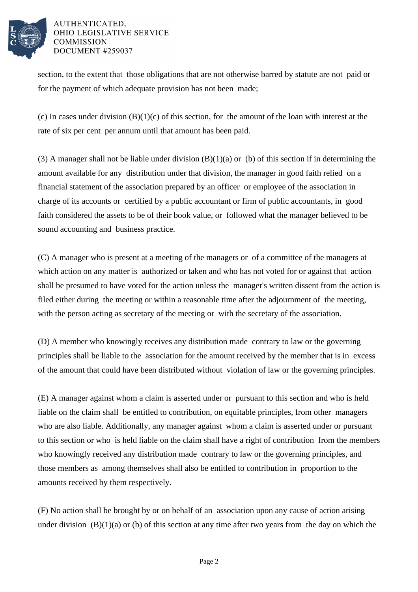

## AUTHENTICATED. OHIO LEGISLATIVE SERVICE **COMMISSION** DOCUMENT #259037

section, to the extent that those obligations that are not otherwise barred by statute are not paid or for the payment of which adequate provision has not been made;

(c) In cases under division  $(B)(1)(c)$  of this section, for the amount of the loan with interest at the rate of six per cent per annum until that amount has been paid.

(3) A manager shall not be liable under division  $(B)(1)(a)$  or (b) of this section if in determining the amount available for any distribution under that division, the manager in good faith relied on a financial statement of the association prepared by an officer or employee of the association in charge of its accounts or certified by a public accountant or firm of public accountants, in good faith considered the assets to be of their book value, or followed what the manager believed to be sound accounting and business practice.

(C) A manager who is present at a meeting of the managers or of a committee of the managers at which action on any matter is authorized or taken and who has not voted for or against that action shall be presumed to have voted for the action unless the manager's written dissent from the action is filed either during the meeting or within a reasonable time after the adjournment of the meeting, with the person acting as secretary of the meeting or with the secretary of the association.

(D) A member who knowingly receives any distribution made contrary to law or the governing principles shall be liable to the association for the amount received by the member that is in excess of the amount that could have been distributed without violation of law or the governing principles.

(E) A manager against whom a claim is asserted under or pursuant to this section and who is held liable on the claim shall be entitled to contribution, on equitable principles, from other managers who are also liable. Additionally, any manager against whom a claim is asserted under or pursuant to this section or who is held liable on the claim shall have a right of contribution from the members who knowingly received any distribution made contrary to law or the governing principles, and those members as among themselves shall also be entitled to contribution in proportion to the amounts received by them respectively.

(F) No action shall be brought by or on behalf of an association upon any cause of action arising under division  $(B)(1)(a)$  or (b) of this section at any time after two years from the day on which the